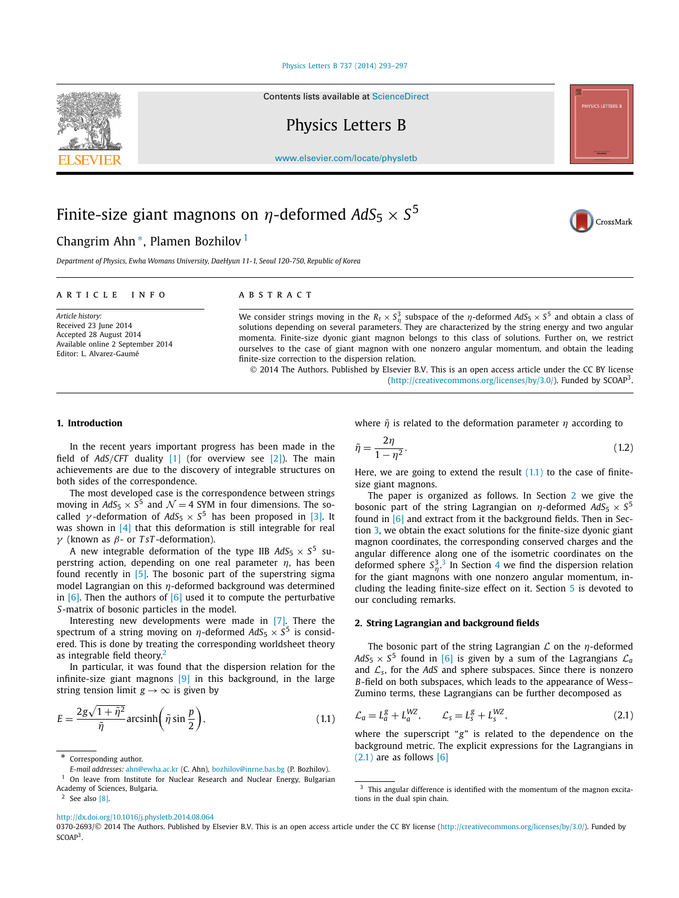#### [Physics Letters B 737 \(2014\) 293–297](http://dx.doi.org/10.1016/j.physletb.2014.08.064)

Contents lists available at [ScienceDirect](http://www.ScienceDirect.com/)

Physics Letters B

[www.elsevier.com/locate/physletb](http://www.elsevier.com/locate/physletb)

# Finite-size giant magnons on  $\eta$ -deformed  $AdS_5 \times S^5$

## Changrim Ahn<sup>\*</sup>, Plamen Bozhilov<sup>1</sup>

*Department of Physics, Ewha Womans University, DaeHyun 11-1, Seoul 120-750, Republic of Korea*

#### A R T I C L E I N F O A B S T R A C T

*Article history:* Received 23 June 2014 Accepted 28 August 2014 Available online 2 September 2014 Editor: L. Alvarez-Gaumé

We consider strings moving in the  $R_t \times S_\eta^3$  subspace of the  $\eta$ -deformed  $AdS_5 \times S^5$  and obtain a class of solutions depending on several parameters. They are characterized by the string energy and two angular momenta. Finite-size dyonic giant magnon belongs to this class of solutions. Further on, we restrict ourselves to the case of giant magnon with one nonzero angular momentum, and obtain the leading finite-size correction to the dispersion relation.

 $\tilde{\eta} = \frac{2\eta}{1 - n^2}.$ 

size giant magnons.

our concluding remarks.

 $(2.1)$  are as follows  $[6]$ 

**2. String Lagrangian and background fields**

 $\mathcal{L}_a = L_a^g + L_a^{WZ}, \qquad \mathcal{L}_s = L_s^g + L_s^{WZ}$ 

© 2014 The Authors. Published by Elsevier B.V. This is an open access article under the CC BY license [\(http://creativecommons.org/licenses/by/3.0/\)](http://creativecommons.org/licenses/by/3.0/). Funded by SCOAP3.

where  $\tilde{\eta}$  is related to the deformation parameter  $\eta$  according to

 $\frac{1}{1 - \eta^2}$  (1.2) Here, we are going to extend the result  $(1.1)$  to the case of finite-

The paper is organized as follows. In Section 2 we give the bosonic part of the string Lagrangian on  $\eta$ -deformed  $AdS_5 \times S^5$ found in [\[6\]](#page-4-0) and extract from it the background fields. Then in Section [3,](#page-1-0) we obtain the exact solutions for the finite-size dyonic giant magnon coordinates, the corresponding conserved charges and the angular difference along one of the isometric coordinates on the deformed sphere  $S_{\eta}^{3.3}$  In Section [4](#page-3-0) we find the dispersion relation for the giant magnons with one nonzero angular momentum, including the leading finite-size effect on it. Section [5](#page-4-0) is devoted to

The bosonic part of the string Lagrangian *L* on the η-deformed  $AdS_5 \times S^5$  found in [\[6\]](#page-4-0) is given by a sum of the Lagrangians  $\mathcal{L}_a$ and  $\mathcal{L}_s$ , for the *AdS* and sphere subspaces. Since there is nonzero *B*-field on both subspaces, which leads to the appearance of Wess– Zumino terms, these Lagrangians can be further decomposed as

where the superscript "*g*" is related to the dependence on the background metric. The explicit expressions for the Lagrangians in

#### **1. Introduction**

In the recent years important progress has been made in the field of *AdS/CFT* duality [\[1\]](#page-4-0) (for overview see [\[2\]\)](#page-4-0). The main achievements are due to the discovery of integrable structures on both sides of the correspondence.

The most developed case is the correspondence between strings moving in  $AdS_5 \times S^5$  and  $\mathcal{N} = 4$  SYM in four dimensions. The socalled  $\gamma$ -deformation of  $AdS_5 \times S^5$  has been proposed in [\[3\].](#page-4-0) It was shown in [\[4\]](#page-4-0) that this deformation is still integrable for real γ (known as β- or *T sT* -deformation).

A new integrable deformation of the type IIB  $AdS_5 \times S^5$  superstring action, depending on one real parameter  $\eta$ , has been found recently in [\[5\].](#page-4-0) The bosonic part of the superstring sigma model Lagrangian on this  $\eta$ -deformed background was determined in  $[6]$ . Then the authors of  $[6]$  used it to compute the perturbative *S*-matrix of bosonic particles in the model.

Interesting new developments were made in [\[7\].](#page-4-0) There the spectrum of a string moving on  $\eta$ -deformed  $AdS_5 \times S^5$  is considered. This is done by treating the corresponding worldsheet theory as integrable field theory. $<sup>2</sup>$ </sup>

In particular, it was found that the dispersion relation for the infinite-size giant magnons  $[9]$  in this background, in the large string tension limit  $g \rightarrow \infty$  is given by

$$
E = \frac{2g\sqrt{1+\tilde{\eta}^2}}{\tilde{\eta}} \operatorname{arcsinh}\left(\tilde{\eta}\sin\frac{p}{2}\right),\tag{1.1}
$$

Corresponding author.

<sup>1</sup> On leave from Institute for Nuclear Research and Nuclear Energy, Bulgarian Academy of Sciences, Bulgaria.

 $2$  See also [\[8\].](#page-4-0)

This angular difference is identified with the momentum of the magnon excitations in the dual spin chain.

<http://dx.doi.org/10.1016/j.physletb.2014.08.064>

0370-2693/© 2014 The Authors. Published by Elsevier B.V. This is an open access article under the CC BY license [\(http://creativecommons.org/licenses/by/3.0/\)](http://creativecommons.org/licenses/by/3.0/). Funded by SCOAP<sup>3</sup>.





CrossMark

 $(2.1)$ 

*E-mail addresses:* [ahn@ewha.ac.kr](mailto:ahn@ewha.ac.kr) (C. Ahn), [bozhilov@inrne.bas.bg](mailto:bozhilov@inrne.bas.bg) (P. Bozhilov).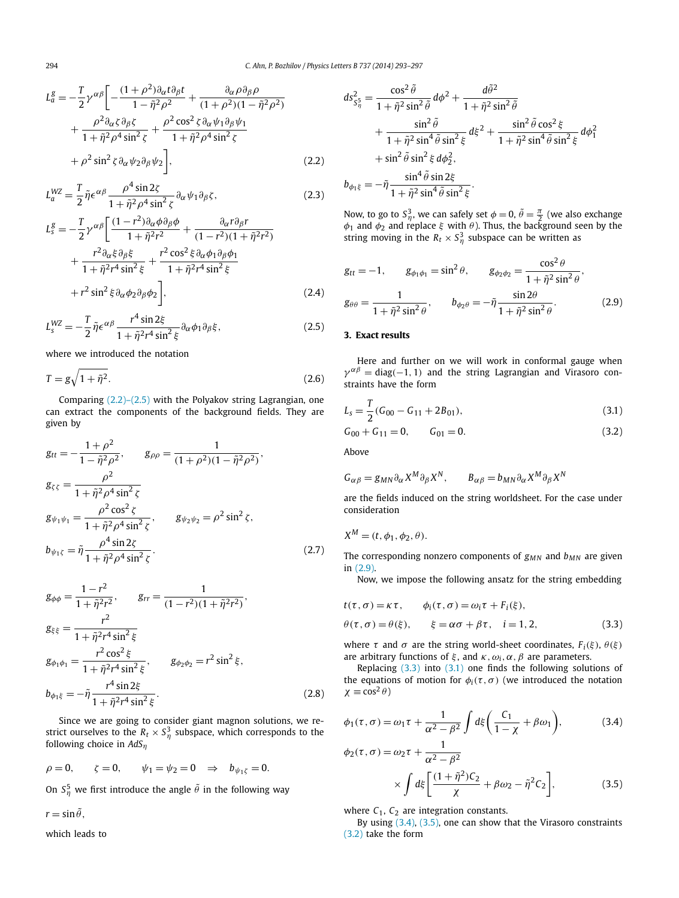<span id="page-1-0"></span>
$$
L_a^g = -\frac{T}{2} \gamma^{\alpha\beta} \left[ -\frac{(1+\rho^2)\partial_\alpha t \partial_\beta t}{1-\tilde{\eta}^2 \rho^2} + \frac{\partial_\alpha \rho \partial_\beta \rho}{(1+\rho^2)(1-\tilde{\eta}^2 \rho^2)} + \frac{\rho^2 \partial_\alpha \zeta \partial_\beta \zeta}{1+\tilde{\eta}^2 \rho^4 \sin^2 \zeta} + \frac{\rho^2 \cos^2 \zeta \partial_\alpha \psi_1 \partial_\beta \psi_1}{1+\tilde{\eta}^2 \rho^4 \sin^2 \zeta} + \rho^2 \sin^2 \zeta \partial_\alpha \psi_2 \partial_\beta \psi_2 \right],
$$
(2.2)

$$
L_a^{WZ} = \frac{T}{2} \tilde{\eta} \epsilon^{\alpha \beta} \frac{\rho^4 \sin 2\zeta}{1 + \tilde{\eta}^2 \rho^4 \sin^2 \zeta} \partial_\alpha \psi_1 \partial_\beta \zeta,
$$
 (2.3)

$$
L_{s}^{g} = -\frac{T}{2} \gamma^{\alpha\beta} \left[ \frac{(1-r^{2})\partial_{\alpha}\phi \partial_{\beta}\phi}{1+\tilde{\eta}^{2}r^{2}} + \frac{\partial_{\alpha}r\partial_{\beta}r}{(1-r^{2})(1+\tilde{\eta}^{2}r^{2})} + \frac{r^{2}\partial_{\alpha}\xi \partial_{\beta}\xi}{1+\tilde{\eta}^{2}r^{4}\sin^{2}\xi} + \frac{r^{2}\cos^{2}\xi \partial_{\alpha}\phi_{1}\partial_{\beta}\phi_{1}}{1+\tilde{\eta}^{2}r^{4}\sin^{2}\xi} + r^{2}\sin^{2}\xi \partial_{\alpha}\phi_{2}\partial_{\beta}\phi_{2} \right],
$$
\n(2.4)

$$
L_s^{WZ} = -\frac{T}{2}\tilde{\eta}\epsilon^{\alpha\beta}\frac{r^4\sin 2\xi}{1 + \tilde{\eta}^2r^4\sin^2\xi}\partial_\alpha\phi_1\partial_\beta\xi,
$$
 (2.5)

where we introduced the notation

$$
T = g\sqrt{1 + \tilde{\eta}^2}.
$$
\n(2.6)

Comparing (2.2)–(2.5) with the Polyakov string Lagrangian, one can extract the components of the background fields. They are given by

$$
g_{tt} = -\frac{1+\rho^2}{1-\tilde{\eta}^2\rho^2}, \qquad g_{\rho\rho} = \frac{1}{(1+\rho^2)(1-\tilde{\eta}^2\rho^2)},
$$
  
\n
$$
g_{\zeta\zeta} = \frac{\rho^2}{1+\tilde{\eta}^2\rho^4\sin^2\zeta}
$$
  
\n
$$
g_{\psi_1\psi_1} = \frac{\rho^2\cos^2\zeta}{1+\tilde{\eta}^2\rho^4\sin^2\zeta}, \qquad g_{\psi_2\psi_2} = \rho^2\sin^2\zeta,
$$
  
\n
$$
b_{\psi_1\zeta} = \tilde{\eta}\frac{\rho^4\sin 2\zeta}{1+\tilde{\eta}^2\rho^4\sin^2\zeta}.
$$
\n(2.7)

$$
g_{\phi\phi} = \frac{1 - r^2}{1 + \tilde{\eta}^2 r^2}, \qquad g_{rr} = \frac{1}{(1 - r^2)(1 + \tilde{\eta}^2 r^2)},
$$
  
\n
$$
g_{\xi\xi} = \frac{r^2}{1 + \tilde{\eta}^2 r^4 \sin^2 \xi}
$$
  
\n
$$
g_{\phi_1\phi_1} = \frac{r^2 \cos^2 \xi}{1 + \tilde{\eta}^2 r^4 \sin^2 \xi}, \qquad g_{\phi_2\phi_2} = r^2 \sin^2 \xi,
$$
  
\n
$$
b_{\phi_1\xi} = -\tilde{\eta} \frac{r^4 \sin 2\xi}{1 + \tilde{\eta}^2 r^4 \sin^2 \xi}.
$$
\n(2.8)

Since we are going to consider giant magnon solutions, we restrict ourselves to the  $R_t \times S_\eta^3$  subspace, which corresponds to the following choice in *AdS*η

$$
\rho=0,\qquad \zeta=0,\qquad \psi_1=\psi_2=0\quad\Rightarrow\quad b_{\psi_1\zeta}=0.
$$

On  $S_{\eta}^5$  we first introduce the angle  $\tilde{\theta}$  in the following way

 $r = \sin \tilde{\theta}$ ,

which leads to

$$
ds_{S_{\eta}^5}^2 = \frac{\cos^2 \tilde{\theta}}{1 + \tilde{\eta}^2 \sin^2 \tilde{\theta}} d\phi^2 + \frac{d\tilde{\theta}^2}{1 + \tilde{\eta}^2 \sin^2 \tilde{\theta}} + \frac{\sin^2 \tilde{\theta}}{1 + \tilde{\eta}^2 \sin^4 \tilde{\theta} \sin^2 \xi} d\xi^2 + \frac{\sin^2 \tilde{\theta} \cos^2 \xi}{1 + \tilde{\eta}^2 \sin^4 \tilde{\theta} \sin^2 \xi} d\phi_1^2 + \sin^2 \tilde{\theta} \sin^2 \xi d\phi_2^2, b_{\phi_1 \xi} = -\tilde{\eta} \frac{\sin^4 \tilde{\theta} \sin 2\xi}{1 + \tilde{\eta}^2 \sin^4 \tilde{\theta} \sin^2 \xi}.
$$

Now, to go to  $S^3_\eta$ , we can safely set  $\phi = 0$ ,  $\tilde{\theta} = \frac{\pi}{2}$  (we also exchange  $\phi_1$  and  $\phi_2$  and replace  $\xi$  with  $\theta$ ). Thus, the background seen by the string moving in the  $R_t \times S_\eta^3$  subspace can be written as

$$
g_{tt} = -1, \t g_{\phi_1\phi_1} = \sin^2\theta, \t g_{\phi_2\phi_2} = \frac{\cos^2\theta}{1 + \tilde{\eta}^2 \sin^2\theta},
$$

$$
g_{\theta\theta} = \frac{1}{1 + \tilde{\eta}^2 \sin^2\theta}, \t b_{\phi_2\theta} = -\tilde{\eta} \frac{\sin 2\theta}{1 + \tilde{\eta}^2 \sin^2\theta}.
$$
(2.9)

#### **3. Exact results**

Here and further on we will work in conformal gauge when  $\gamma^{\alpha\beta}$  = diag(-1, 1) and the string Lagrangian and Virasoro constraints have the form

$$
L_s = \frac{T}{2}(G_{00} - G_{11} + 2B_{01}),
$$
\n(3.1)

$$
G_{00} + G_{11} = 0, \t G_{01} = 0. \t (3.2)
$$

Above

$$
G_{\alpha\beta} = g_{MN}\partial_{\alpha}X^M\partial_{\beta}X^N, \qquad B_{\alpha\beta} = b_{MN}\partial_{\alpha}X^M\partial_{\beta}X^N
$$

are the fields induced on the string worldsheet. For the case under consideration

$$
X^M = (t, \phi_1, \phi_2, \theta).
$$

The corresponding nonzero components of  $g_{MN}$  and  $b_{MN}$  are given in (2.9).

Now, we impose the following ansatz for the string embedding

$$
t(\tau, \sigma) = \kappa \tau, \qquad \phi_i(\tau, \sigma) = \omega_i \tau + F_i(\xi),
$$
  

$$
\theta(\tau, \sigma) = \theta(\xi), \qquad \xi = \alpha \sigma + \beta \tau, \quad i = 1, 2,
$$
 (3.3)

where  $\tau$  and  $\sigma$  are the string world-sheet coordinates,  $F_i(\xi)$ ,  $\theta(\xi)$ are arbitrary functions of  $\xi$ , and  $\kappa$ *,*  $\omega_i$ *,*  $\alpha$ *,*  $\beta$  are parameters.

Replacing  $(3.3)$  into  $(3.1)$  one finds the following solutions of the equations of motion for  $\phi_i(\tau, \sigma)$  (we introduced the notation  $\chi \equiv \cos^2 \theta$ )

$$
\phi_1(\tau,\sigma) = \omega_1 \tau + \frac{1}{\alpha^2 - \beta^2} \int d\xi \left( \frac{C_1}{1 - \chi} + \beta \omega_1 \right),\tag{3.4}
$$

$$
\phi_2(\tau,\sigma) = \omega_2 \tau + \frac{1}{\alpha^2 - \beta^2}
$$

$$
\times \int d\xi \left[ \frac{(1 + \tilde{\eta}^2)C_2}{\chi} + \beta \omega_2 - \tilde{\eta}^2 C_2 \right],
$$
(3.5)

where  $C_1$ ,  $C_2$  are integration constants.

By using  $(3.4)$ ,  $(3.5)$ , one can show that the Virasoro constraints (3.2) take the form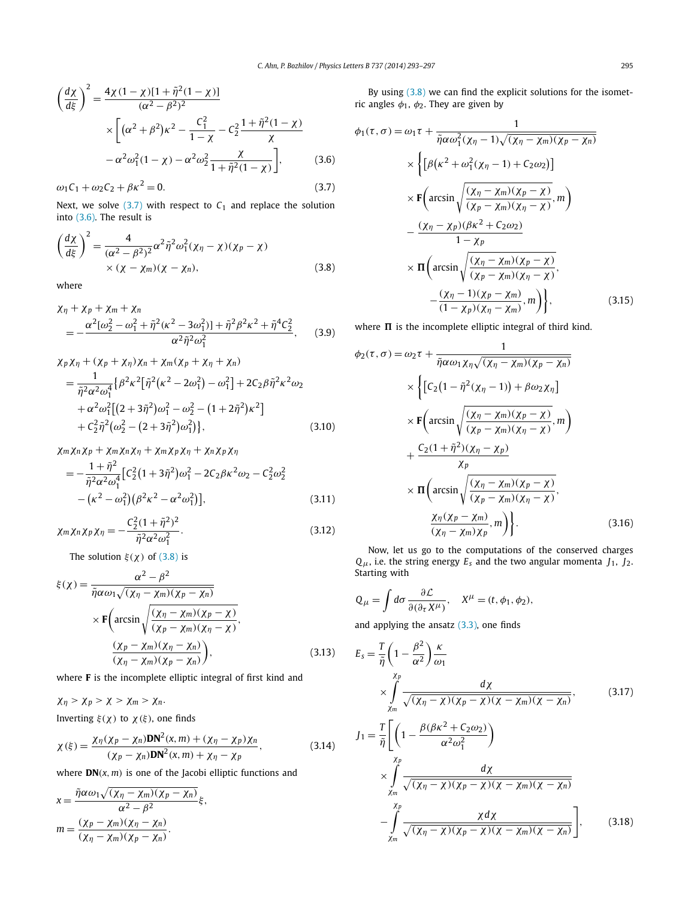<span id="page-2-0"></span>
$$
\left(\frac{d\chi}{d\xi}\right)^2 = \frac{4\chi(1-\chi)[1+\tilde{\eta}^2(1-\chi)]}{(\alpha^2-\beta^2)^2} \times \left[ (\alpha^2+\beta^2)\kappa^2 - \frac{C_1^2}{1-\chi} - C_2^2 \frac{1+\tilde{\eta}^2(1-\chi)}{\chi} -\alpha^2\omega_1^2(1-\chi) - \alpha^2\omega_2^2 \frac{\chi}{1+\tilde{\eta}^2(1-\chi)} \right],\tag{3.6}
$$

$$
\omega_1 C_1 + \omega_2 C_2 + \beta \kappa^2 = 0. \tag{3.7}
$$

Next, we solve  $(3.7)$  with respect to  $C_1$  and replace the solution into (3.6). The result is

$$
\left(\frac{d\chi}{d\xi}\right)^2 = \frac{4}{(\alpha^2 - \beta^2)^2} \alpha^2 \tilde{\eta}^2 \omega_1^2 (\chi_\eta - \chi)(\chi_p - \chi) \times (\chi - \chi_m)(\chi - \chi_n),
$$
\n(3.8)

where

$$
\chi_{\eta} + \chi_{p} + \chi_{m} + \chi_{n}
$$
\n
$$
= -\frac{\alpha^{2}[\omega_{2}^{2} - \omega_{1}^{2} + \tilde{\eta}^{2}(\kappa^{2} - 3\omega_{1}^{2})] + \tilde{\eta}^{2}\beta^{2}\kappa^{2} + \tilde{\eta}^{4}C_{2}^{2}}{\alpha^{2}\tilde{\eta}^{2}\omega_{1}^{2}},
$$
\n(3.9)

$$
\chi_p \chi_\eta + (\chi_p + \chi_\eta) \chi_n + \chi_m (\chi_p + \chi_\eta + \chi_n)
$$
  
= 
$$
\frac{1}{\tilde{\eta}^2 \alpha^2 \omega_1^4} \{ \beta^2 \kappa^2 [\tilde{\eta}^2 (\kappa^2 - 2\omega_1^2) - \omega_1^2] + 2C_2 \beta \tilde{\eta}^2 \kappa^2 \omega_2
$$
  
+ 
$$
\alpha^2 \omega_1^2 [(2 + 3\tilde{\eta}^2) \omega_1^2 - \omega_2^2 - (1 + 2\tilde{\eta}^2) \kappa^2 ]
$$
  
+ 
$$
C_2^2 \tilde{\eta}^2 (\omega_2^2 - (2 + 3\tilde{\eta}^2) \omega_1^2 ) \}, \qquad (3.10)
$$

$$
\chi_m \chi_n \chi_p + \chi_m \chi_n \chi_\eta + \chi_m \chi_p \chi_\eta + \chi_n \chi_p \chi_\eta
$$
  
= 
$$
-\frac{1 + \tilde{\eta}^2}{\tilde{\eta}^2 \alpha^2 \omega_1^4} \Big[ C_2^2 \big( 1 + 3\tilde{\eta}^2 \big) \omega_1^2 - 2C_2 \beta \kappa^2 \omega_2 - C_2^2 \omega_2^2 - (\kappa^2 - \omega_1^2) \big( \beta^2 \kappa^2 - \alpha^2 \omega_1^2 \big) \Big],
$$
 (3.11)

$$
\chi_m \chi_n \chi_p \chi_\eta = -\frac{C_2^2 (1 + \tilde{\eta}^2)^2}{\tilde{\eta}^2 \alpha^2 \omega_1^2}.
$$
\n(3.12)

The solution  $\xi(\chi)$  of (3.8) is

$$
\xi(\chi) = \frac{\alpha^2 - \beta^2}{\tilde{\eta}\alpha\omega_1\sqrt{(\chi_\eta - \chi_m)(\chi_p - \chi_n)}}
$$

$$
\times \mathbf{F}\left(\arcsin\sqrt{\frac{(\chi_\eta - \chi_m)(\chi_p - \chi)}{(\chi_p - \chi_m)(\chi_\eta - \chi)}}, \frac{(\chi_p - \chi_m)(\chi_\eta - \chi_n)}{(\chi_\eta - \chi_m)(\chi_p - \chi_n)}\right), \tag{3.13}
$$

where **F** is the incomplete elliptic integral of first kind and

$$
\chi_{\eta} > \chi_{p} > \chi > \chi_{m} > \chi_{n}.
$$

Inverting  $ξ(χ)$  to  $χ(ξ)$ , one finds

$$
\chi(\xi) = \frac{\chi_{\eta}(\chi_p - \chi_n)\mathbf{DN}^2(x, m) + (\chi_{\eta} - \chi_p)\chi_n}{(\chi_p - \chi_n)\mathbf{DN}^2(x, m) + \chi_{\eta} - \chi_p},
$$
(3.14)

where  $DN(x, m)$  is one of the Jacobi elliptic functions and

$$
x = \frac{\tilde{\eta}\alpha\omega_1\sqrt{(\chi_\eta - \chi_m)(\chi_p - \chi_n)}}{\alpha^2 - \beta^2}\xi,
$$
  

$$
m = \frac{(\chi_p - \chi_m)(\chi_\eta - \chi_n)}{(\chi_\eta - \chi_m)(\chi_p - \chi_n)}.
$$

By using  $(3.8)$  we can find the explicit solutions for the isometric angles  $\phi_1$ ,  $\phi_2$ . They are given by

$$
\phi_1(\tau,\sigma) = \omega_1 \tau + \frac{1}{\tilde{\eta}\alpha\omega_1^2(\chi_\eta - 1)\sqrt{(\chi_\eta - \chi_m)(\chi_p - \chi_n)}}
$$
\n
$$
\times \left\{ \left[ \beta(\kappa^2 + \omega_1^2(\chi_\eta - 1) + C_2\omega_2) \right] \right\}
$$
\n
$$
\times \mathbf{F} \left( \arcsin \sqrt{\frac{(\chi_\eta - \chi_m)(\chi_p - \chi)}{(\chi_p - \chi_m)(\chi_\eta - \chi)}}, m \right)
$$
\n
$$
- \frac{(\chi_\eta - \chi_p)(\beta\kappa^2 + C_2\omega_2)}{1 - \chi_p}
$$
\n
$$
\times \mathbf{\Pi} \left( \arcsin \sqrt{\frac{(\chi_\eta - \chi_m)(\chi_p - \chi)}{(\chi_p - \chi_m)(\chi_\eta - \chi)}}, -\frac{(\chi_\eta - 1)(\chi_p - \chi_m)}{(1 - \chi_p)(\chi_\eta - \chi_m)}, m \right) \right\}, \tag{3.15}
$$

where  $\Pi$  is the incomplete elliptic integral of third kind.

$$
\phi_2(\tau,\sigma) = \omega_2 \tau + \frac{1}{\tilde{\eta}\alpha\omega_1\chi_\eta\sqrt{(\chi_\eta - \chi_m)(\chi_p - \chi_n)}}
$$
  
\n
$$
\times \left\{ \left[ C_2(1 - \tilde{\eta}^2(\chi_\eta - 1)) + \beta\omega_2\chi_\eta \right] \times \mathbf{F} \left( \arcsin \sqrt{\frac{(\chi_\eta - \chi_m)(\chi_p - \chi)}{(\chi_p - \chi_m)(\chi_\eta - \chi)}}, m \right) \right\}
$$
  
\n
$$
+ \frac{C_2(1 + \tilde{\eta}^2)(\chi_\eta - \chi_p)}{\chi_p}
$$
  
\n
$$
\times \Pi \left( \arcsin \sqrt{\frac{(\chi_\eta - \chi_m)(\chi_p - \chi)}{(\chi_p - \chi_m)(\chi_\eta - \chi)}}, \frac{\chi_\eta(\chi_p - \chi_m)}{(\chi_\eta - \chi_m)\chi_p}, m \right) \right\}.
$$
 (3.16)

Now, let us go to the computations of the conserved charges  $Q_{\mu}$ , i.e. the string energy  $E_s$  and the two angular momenta  $J_1$ ,  $J_2$ . Starting with

$$
Q_{\mu} = \int d\sigma \frac{\partial \mathcal{L}}{\partial(\partial_{\tau} X^{\mu})}, \quad X^{\mu} = (t, \phi_1, \phi_2),
$$

and applying the ansatz  $(3.3)$ , one finds

$$
E_{s} = \frac{T}{\tilde{\eta}} \left( 1 - \frac{\beta^{2}}{\alpha^{2}} \right) \frac{\kappa}{\omega_{1}}
$$
  
\n
$$
\times \int_{\chi_{m}}^{\chi_{p}} \frac{d\chi}{\sqrt{(\chi_{\eta} - \chi)(\chi_{p} - \chi)(\chi - \chi_{m})(\chi - \chi_{n})}},
$$
(3.17)  
\n
$$
J_{1} = \frac{T}{\tilde{\eta}} \left[ \left( 1 - \frac{\beta(\beta\kappa^{2} + C_{2}\omega_{2})}{\alpha^{2}\omega_{1}^{2}} \right) \right]
$$
  
\n
$$
\times \int_{\chi_{m}}^{\chi_{p}} \frac{d\chi}{\sqrt{(\chi_{\eta} - \chi)(\chi_{p} - \chi)(\chi - \chi_{m})(\chi - \chi_{n})}}
$$
  
\n
$$
- \int_{\chi_{m}}^{\chi_{p}} \frac{\chi d\chi}{\sqrt{(\chi_{\eta} - \chi)(\chi_{p} - \chi)(\chi - \chi_{m})(\chi - \chi_{n})}} ,
$$
(3.18)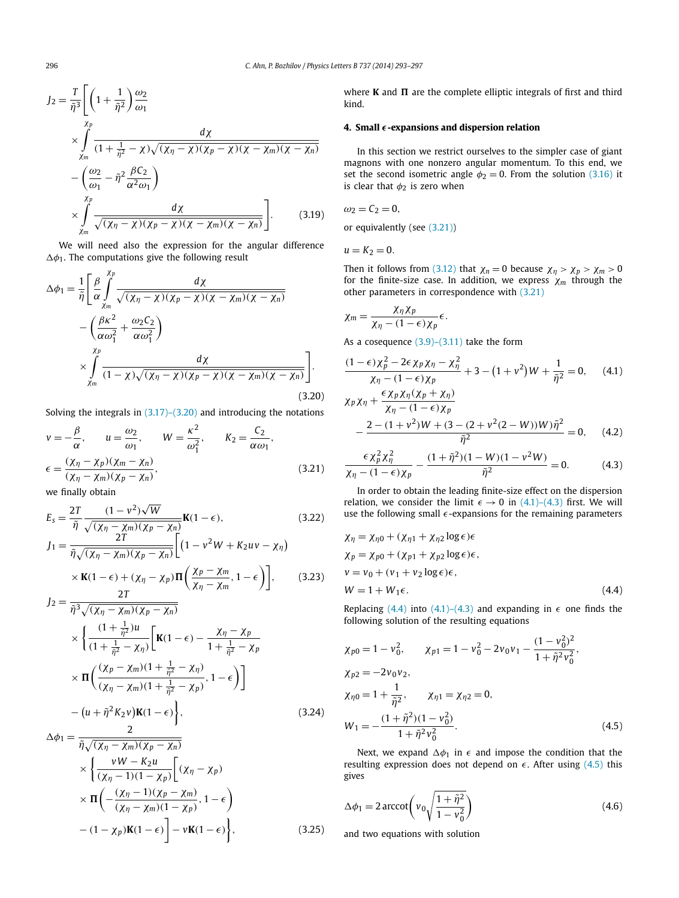<span id="page-3-0"></span>
$$
J_2 = \frac{T}{\tilde{\eta}^3} \Biggl[ \left( 1 + \frac{1}{\tilde{\eta}^2} \right) \frac{\omega_2}{\omega_1} \times \int_{\chi_m} \frac{d\chi}{(1 + \frac{1}{\tilde{\eta}^2} - \chi)\sqrt{(\chi_\eta - \chi)(\chi_p - \chi)(\chi - \chi_m)(\chi - \chi_n)}} \n- \left( \frac{\omega_2}{\omega_1} - \tilde{\eta}^2 \frac{\beta C_2}{\alpha^2 \omega_1} \right) \times \int_{\chi_m} \frac{d\chi}{\sqrt{(\chi_\eta - \chi)(\chi_p - \chi)(\chi - \chi_m)(\chi - \chi_n)}} \Biggr].
$$
\n(3.19)

We will need also the expression for the angular difference  $\Delta\phi_1$ . The computations give the following result

$$
\Delta \phi_1 = \frac{1}{\tilde{\eta}} \left[ \frac{\beta}{\alpha} \int_{\chi_m}^{\chi_p} \frac{d\chi}{\sqrt{(\chi_\eta - \chi)(\chi_p - \chi)(\chi - \chi_m)(\chi - \chi_n)}} - \left( \frac{\beta \kappa^2}{\alpha \omega_1^2} + \frac{\omega_2 C_2}{\alpha \omega_1^2} \right) \times \int_{\chi_m}^{\chi_p} \frac{d\chi}{(1 - \chi)\sqrt{(\chi_\eta - \chi)(\chi_p - \chi)(\chi - \chi_m)(\chi - \chi_n)}} \right].
$$
\n(3.20)

Solving the integrals in  $(3.17)$ – $(3.20)$  and introducing the notations

$$
v = -\frac{\beta}{\alpha}, \qquad u = \frac{\omega_2}{\omega_1}, \qquad W = \frac{\kappa^2}{\omega_1^2}, \qquad K_2 = \frac{C_2}{\alpha \omega_1},
$$
  

$$
\epsilon = \frac{(\chi_\eta - \chi_p)(\chi_m - \chi_n)}{(\chi_\eta - \chi_m)(\chi_p - \chi_n)}, \tag{3.21}
$$

we finally obtain

$$
E_{s} = \frac{2T}{\tilde{\eta}} \frac{(1 - v^{2})\sqrt{W}}{\sqrt{(x_{\eta} - \chi_{m})(\chi_{p} - \chi_{n})}} \mathbf{K}(1 - \epsilon),
$$
\n(3.22)\n
$$
J_{1} = \frac{2T}{\tilde{\eta}\sqrt{(x_{\eta} - \chi_{m})(\chi_{p} - \chi_{n})}} \left[ (1 - v^{2}W + K_{2}uv - \chi_{\eta}) \right]
$$

$$
\times \mathbf{K}(1-\epsilon) + (\chi_{\eta} - \chi_{p}) \mathbf{\Pi} \left( \frac{\chi_{p} - \chi_{m}}{\chi_{\eta} - \chi_{m}}, 1-\epsilon \right) \bigg], \qquad (3.23)
$$

$$
J_2 = \frac{2T}{\tilde{\eta}^3 \sqrt{(X\eta - Xm)(Xp - Xn)}}
$$
  
\n
$$
\times \left\{ \frac{(1 + \frac{1}{\tilde{\eta}^2})u}{(1 + \frac{1}{\tilde{\eta}^2} - X\eta)} \left[ \mathbf{K}(1 - \epsilon) - \frac{X\eta - Xp}{1 + \frac{1}{\tilde{\eta}^2} - Xp} \right] \right\}
$$
  
\n
$$
\times \Pi \left( \frac{(Xp - Xm)(1 + \frac{1}{\tilde{\eta}^2} - Xp)}{(X\eta - Xm)(1 + \frac{1}{\tilde{\eta}^2} - Xp)}, 1 - \epsilon \right) \right]
$$
  
\n
$$
- (u + \tilde{\eta}^2 K_2 v) \mathbf{K}(1 - \epsilon) \right\},
$$
\n(3.24)

$$
\Delta \phi_1 = \frac{2}{\tilde{\eta} \sqrt{(\chi_\eta - \chi_m)(\chi_p - \chi_n)}}\n\times \left\{\n\frac{vW - K_2 u}{(\chi_\eta - 1)(1 - \chi_p)} \left[ (\chi_\eta - \chi_p)\n\times \Pi \left( -\frac{(\chi_\eta - 1)(\chi_p - \chi_m)}{(\chi_\eta - \chi_m)(1 - \chi_p)}, 1 - \epsilon \right)\n- (1 - \chi_p) \mathbf{K}(1 - \epsilon) \right] - v\mathbf{K}(1 - \epsilon)\n\right\},
$$
\n(3.25)

where **K** and  $\Pi$  are the complete elliptic integrals of first and third kind.

### **4. Small** ϵ**-expansions and dispersion relation**

In this section we restrict ourselves to the simpler case of giant magnons with one nonzero angular momentum. To this end, we set the second isometric angle  $\phi_2 = 0$ . From the solution [\(3.16\)](#page-2-0) it is clear that  $\phi_2$  is zero when

$$
\omega_2 = C_2 = 0,
$$

or equivalently (see (3.21))

 $u = K_2 = 0.$ 

Then it follows from [\(3.12\)](#page-2-0) that  $\chi_n = 0$  because  $\chi_\eta > \chi_p > \chi_m > 0$ for the finite-size case. In addition, we express  $\chi_m$  through the other parameters in correspondence with (3.21)

$$
\chi_m = \frac{\chi_\eta \chi_p}{\chi_\eta - (1 - \epsilon) \chi_p} \epsilon.
$$

As a cosequence  $(3.9)$ – $(3.11)$  take the form

$$
\frac{(1-\epsilon)\chi_p^2 - 2\epsilon\chi_p\chi_\eta - \chi_\eta^2}{\chi_\eta - (1-\epsilon)\chi_p} + 3 - (1+\nu^2)W + \frac{1}{\tilde{\eta}^2} = 0,\qquad(4.1)
$$
  

$$
\chi_p\chi_\eta + \frac{\epsilon\chi_p\chi_\eta(\chi_p + \chi_\eta)}{\chi_{p-1}(1-\epsilon)\chi_p}
$$

$$
\chi_{\eta} - (1 - \epsilon) \chi_{p}
$$
  
 
$$
- \frac{2 - (1 + v^{2})W + (3 - (2 + v^{2}(2 - W))W)\tilde{\eta}^{2}}{\tilde{\eta}^{2}} = 0, \quad (4.2)
$$

$$
\frac{\epsilon \chi_p^2 \chi_\eta^2}{\chi_\eta - (1 - \epsilon) \chi_p} - \frac{(1 + \tilde{\eta}^2)(1 - W)(1 - v^2 W)}{\tilde{\eta}^2} = 0.
$$
 (4.3)

In order to obtain the leading finite-size effect on the dispersion relation, we consider the limit  $\epsilon \rightarrow 0$  in (4.1)–(4.3) first. We will use the following small  $\epsilon$ -expansions for the remaining parameters

$$
\begin{aligned} \chi_{\eta} &= \chi_{\eta 0} + (\chi_{\eta 1} + \chi_{\eta 2} \log \epsilon) \epsilon \\ \chi_{p} &= \chi_{p 0} + (\chi_{p 1} + \chi_{p 2} \log \epsilon) \epsilon, \\ \nu &= \nu_{0} + (\nu_{1} + \nu_{2} \log \epsilon) \epsilon, \\ W &= 1 + W_{1} \epsilon. \end{aligned} \tag{4.4}
$$

Replacing (4.4) into (4.1)–(4.3) and expanding in  $\epsilon$  one finds the following solution of the resulting equations

$$
\chi_{p0} = 1 - v_0^2, \qquad \chi_{p1} = 1 - v_0^2 - 2v_0v_1 - \frac{(1 - v_0^2)^2}{1 + \tilde{\eta}^2 v_0^2},
$$
  
\n
$$
\chi_{p2} = -2v_0v_2,
$$
  
\n
$$
\chi_{\eta0} = 1 + \frac{1}{\tilde{\eta}^2}, \qquad \chi_{\eta1} = \chi_{\eta2} = 0,
$$
  
\n
$$
W_1 = -\frac{(1 + \tilde{\eta}^2)(1 - v_0^2)}{1 + \tilde{\eta}^2 v_0^2}.
$$
\n(4.5)

Next, we expand  $\Delta \phi_1$  in  $\epsilon$  and impose the condition that the resulting expression does not depend on  $\epsilon$ . After using (4.5) this gives

$$
\Delta \phi_1 = 2 \arccot \left( v_0 \sqrt{\frac{1 + \tilde{\eta}^2}{1 - v_0^2}} \right) \tag{4.6}
$$

and two equations with solution